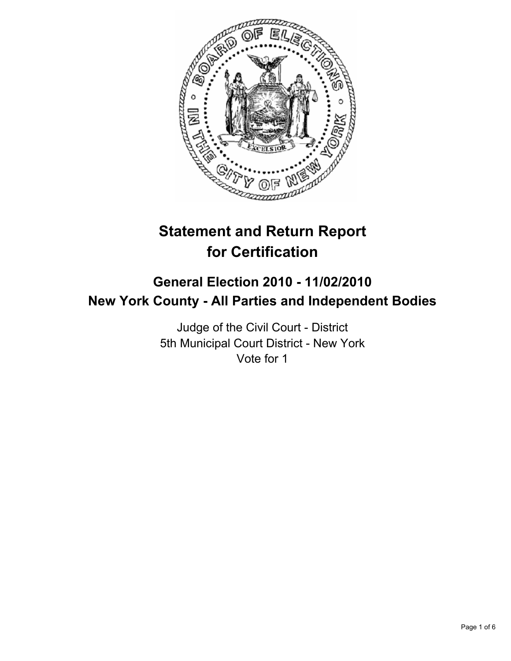

# **Statement and Return Report for Certification**

## **General Election 2010 - 11/02/2010 New York County - All Parties and Independent Bodies**

Judge of the Civil Court - District 5th Municipal Court District - New York Vote for 1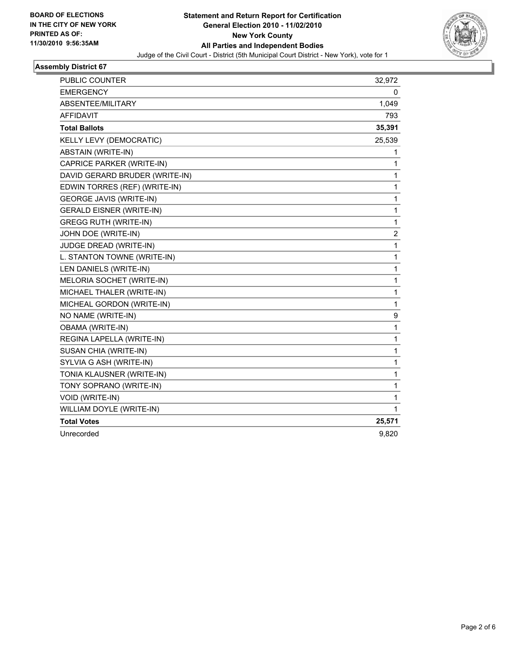

### **Assembly District 67**

| PUBLIC COUNTER                  | 32,972           |
|---------------------------------|------------------|
| <b>EMERGENCY</b>                | 0                |
| ABSENTEE/MILITARY               | 1,049            |
| <b>AFFIDAVIT</b>                | 793              |
| <b>Total Ballots</b>            | 35,391           |
| KELLY LEVY (DEMOCRATIC)         | 25,539           |
| ABSTAIN (WRITE-IN)              | 1                |
| CAPRICE PARKER (WRITE-IN)       | 1                |
| DAVID GERARD BRUDER (WRITE-IN)  | 1                |
| EDWIN TORRES (REF) (WRITE-IN)   | 1                |
| <b>GEORGE JAVIS (WRITE-IN)</b>  | 1                |
| <b>GERALD EISNER (WRITE-IN)</b> | 1                |
| <b>GREGG RUTH (WRITE-IN)</b>    | 1                |
| JOHN DOE (WRITE-IN)             | $\boldsymbol{2}$ |
| <b>JUDGE DREAD (WRITE-IN)</b>   | 1                |
| L. STANTON TOWNE (WRITE-IN)     | 1                |
| LEN DANIELS (WRITE-IN)          | 1                |
| MELORIA SOCHET (WRITE-IN)       | 1                |
| MICHAEL THALER (WRITE-IN)       | 1                |
| MICHEAL GORDON (WRITE-IN)       | 1                |
| NO NAME (WRITE-IN)              | 9                |
| OBAMA (WRITE-IN)                | 1                |
| REGINA LAPELLA (WRITE-IN)       | 1                |
| SUSAN CHIA (WRITE-IN)           | 1                |
| SYLVIA G ASH (WRITE-IN)         | 1                |
| TONIA KLAUSNER (WRITE-IN)       | 1                |
| TONY SOPRANO (WRITE-IN)         | 1                |
| VOID (WRITE-IN)                 | 1                |
| WILLIAM DOYLE (WRITE-IN)        | 1                |
| <b>Total Votes</b>              | 25,571           |
| Unrecorded                      | 9,820            |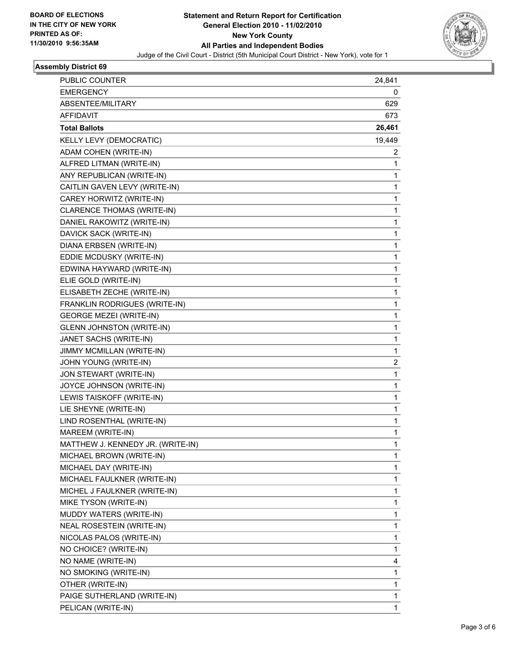

#### **Assembly District 69**

| PUBLIC COUNTER                    | 24,841      |
|-----------------------------------|-------------|
| <b>EMERGENCY</b>                  | 0           |
| ABSENTEE/MILITARY                 | 629         |
| <b>AFFIDAVIT</b>                  | 673         |
| <b>Total Ballots</b>              | 26,461      |
| KELLY LEVY (DEMOCRATIC)           | 19,449      |
| ADAM COHEN (WRITE-IN)             | 2           |
| ALFRED LITMAN (WRITE-IN)          | 1           |
| ANY REPUBLICAN (WRITE-IN)         | 1           |
| CAITLIN GAVEN LEVY (WRITE-IN)     | 1           |
| CAREY HORWITZ (WRITE-IN)          | 1           |
| CLARENCE THOMAS (WRITE-IN)        | 1           |
| DANIEL RAKOWITZ (WRITE-IN)        | 1           |
| DAVICK SACK (WRITE-IN)            | 1           |
| DIANA ERBSEN (WRITE-IN)           | 1           |
| EDDIE MCDUSKY (WRITE-IN)          | 1           |
| EDWINA HAYWARD (WRITE-IN)         | 1           |
| ELIE GOLD (WRITE-IN)              | 1           |
| ELISABETH ZECHE (WRITE-IN)        | 1           |
| FRANKLIN RODRIGUES (WRITE-IN)     | 1           |
| <b>GEORGE MEZEI (WRITE-IN)</b>    | 1           |
| <b>GLENN JOHNSTON (WRITE-IN)</b>  | 1           |
| JANET SACHS (WRITE-IN)            | 1           |
| JIMMY MCMILLAN (WRITE-IN)         | 1           |
| JOHN YOUNG (WRITE-IN)             | 2           |
| JON STEWART (WRITE-IN)            | 1           |
| JOYCE JOHNSON (WRITE-IN)          | 1           |
| LEWIS TAISKOFF (WRITE-IN)         | 1           |
| LIE SHEYNE (WRITE-IN)             | 1           |
| LIND ROSENTHAL (WRITE-IN)         | 1           |
| MAREEM (WRITE-IN)                 | 1           |
| MATTHEW J. KENNEDY JR. (WRITE-IN) | 1           |
| MICHAEL BROWN (WRITE-IN)          | $\mathbf 1$ |
| MICHAEL DAY (WRITE-IN)            | 1           |
| MICHAEL FAULKNER (WRITE-IN)       | 1           |
| MICHEL J FAULKNER (WRITE-IN)      | 1           |
| MIKE TYSON (WRITE-IN)             | 1           |
| MUDDY WATERS (WRITE-IN)           | 1           |
| NEAL ROSESTEIN (WRITE-IN)         | 1           |
| NICOLAS PALOS (WRITE-IN)          | 1           |
| NO CHOICE? (WRITE-IN)             | 1           |
| NO NAME (WRITE-IN)                | 4           |
| NO SMOKING (WRITE-IN)             | 1           |
| OTHER (WRITE-IN)                  | 1           |
| PAIGE SUTHERLAND (WRITE-IN)       | $\mathbf 1$ |
| PELICAN (WRITE-IN)                | 1           |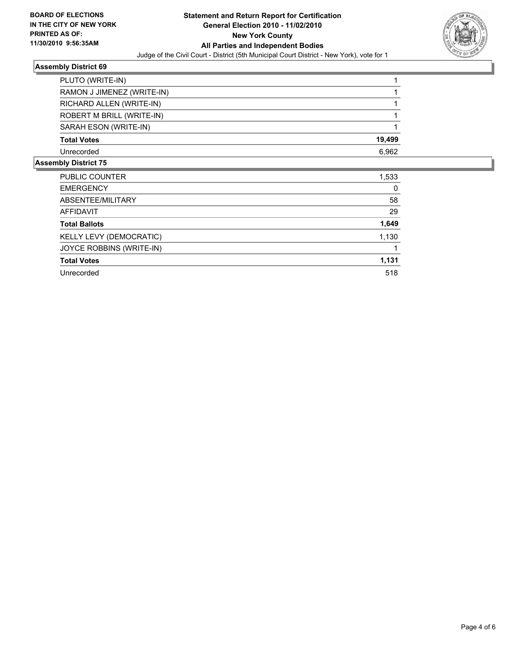

#### **Assembly District 69**

| PLUTO (WRITE-IN)           |        |
|----------------------------|--------|
| RAMON J JIMENEZ (WRITE-IN) |        |
| RICHARD ALLEN (WRITE-IN)   |        |
| ROBERT M BRILL (WRITE-IN)  |        |
| SARAH ESON (WRITE-IN)      |        |
| <b>Total Votes</b>         | 19,499 |
| Unrecorded                 | 6,962  |
| こうしょう あきょんけいそ ライ           |        |

#### **Assembly District 75**

| <b>PUBLIC COUNTER</b>    | 1,533 |
|--------------------------|-------|
| <b>EMERGENCY</b>         | 0     |
| ABSENTEE/MILITARY        | 58    |
| <b>AFFIDAVIT</b>         | 29    |
| <b>Total Ballots</b>     | 1,649 |
| KELLY LEVY (DEMOCRATIC)  | 1,130 |
| JOYCE ROBBINS (WRITE-IN) |       |
| <b>Total Votes</b>       | 1,131 |
| Unrecorded               | 518   |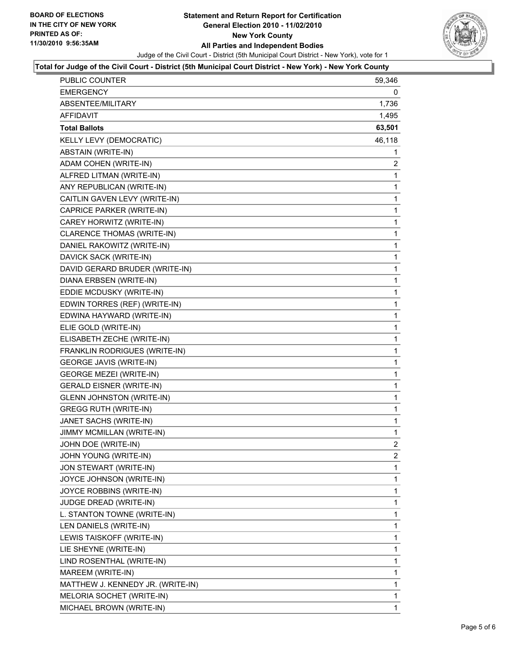

#### **Total for Judge of the Civil Court - District (5th Municipal Court District - New York) - New York County**

| <b>PUBLIC COUNTER</b>             | 59,346         |
|-----------------------------------|----------------|
| <b>EMERGENCY</b>                  | 0              |
| ABSENTEE/MILITARY                 | 1,736          |
| AFFIDAVIT                         | 1,495          |
| <b>Total Ballots</b>              | 63,501         |
| <b>KELLY LEVY (DEMOCRATIC)</b>    | 46,118         |
| ABSTAIN (WRITE-IN)                | 1              |
| ADAM COHEN (WRITE-IN)             | $\overline{2}$ |
| ALFRED LITMAN (WRITE-IN)          | 1              |
| ANY REPUBLICAN (WRITE-IN)         | 1              |
| CAITLIN GAVEN LEVY (WRITE-IN)     | 1              |
| CAPRICE PARKER (WRITE-IN)         | 1              |
| CAREY HORWITZ (WRITE-IN)          | $\mathbf 1$    |
| CLARENCE THOMAS (WRITE-IN)        | 1              |
| DANIEL RAKOWITZ (WRITE-IN)        | 1              |
| DAVICK SACK (WRITE-IN)            | 1              |
| DAVID GERARD BRUDER (WRITE-IN)    | 1              |
| DIANA ERBSEN (WRITE-IN)           | 1              |
| EDDIE MCDUSKY (WRITE-IN)          | $\mathbf 1$    |
| EDWIN TORRES (REF) (WRITE-IN)     | 1              |
| EDWINA HAYWARD (WRITE-IN)         | 1              |
| ELIE GOLD (WRITE-IN)              | 1              |
| ELISABETH ZECHE (WRITE-IN)        | 1              |
| FRANKLIN RODRIGUES (WRITE-IN)     | 1              |
| <b>GEORGE JAVIS (WRITE-IN)</b>    | 1              |
| <b>GEORGE MEZEI (WRITE-IN)</b>    | 1              |
| <b>GERALD EISNER (WRITE-IN)</b>   | 1              |
| <b>GLENN JOHNSTON (WRITE-IN)</b>  | 1              |
| <b>GREGG RUTH (WRITE-IN)</b>      | 1              |
| JANET SACHS (WRITE-IN)            | $\mathbf{1}$   |
| JIMMY MCMILLAN (WRITE-IN)         | 1              |
| JOHN DOE (WRITE-IN)               | $\overline{2}$ |
| JOHN YOUNG (WRITE-IN)             | $\mathbf{2}$   |
| JON STEWART (WRITE-IN)            | $\mathbf 1$    |
| JOYCE JOHNSON (WRITE-IN)          | 1              |
| JOYCE ROBBINS (WRITE-IN)          | 1              |
| JUDGE DREAD (WRITE-IN)            | 1              |
| L. STANTON TOWNE (WRITE-IN)       | 1              |
| LEN DANIELS (WRITE-IN)            | 1              |
| LEWIS TAISKOFF (WRITE-IN)         | 1              |
| LIE SHEYNE (WRITE-IN)             | 1              |
| LIND ROSENTHAL (WRITE-IN)         | 1              |
| MAREEM (WRITE-IN)                 | 1              |
| MATTHEW J. KENNEDY JR. (WRITE-IN) | 1              |
| MELORIA SOCHET (WRITE-IN)         | 1              |
| MICHAEL BROWN (WRITE-IN)          | $\mathbf{1}$   |